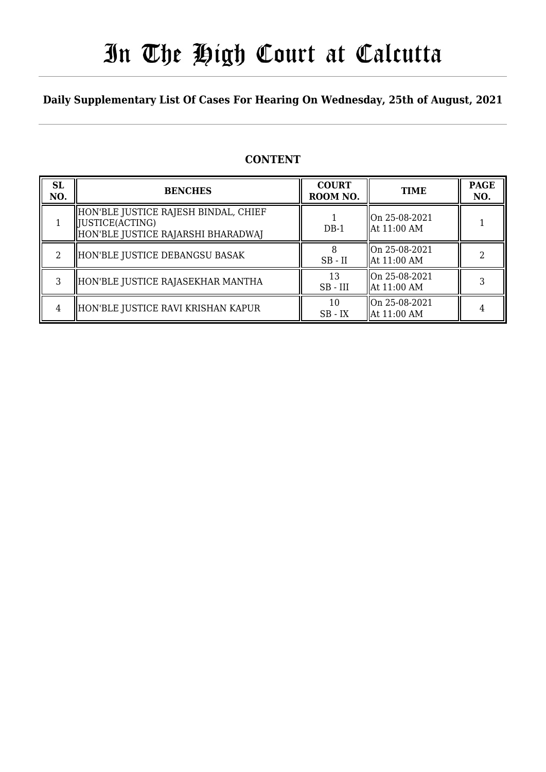# In The High Court at Calcutta

## **Daily Supplementary List Of Cases For Hearing On Wednesday, 25th of August, 2021**

### **CONTENT**

| <b>SL</b><br>NO. | <b>BENCHES</b>                                                                                  | <b>COURT</b><br>ROOM NO. | <b>TIME</b>                  | <b>PAGE</b><br>NO. |
|------------------|-------------------------------------------------------------------------------------------------|--------------------------|------------------------------|--------------------|
|                  | HON'BLE JUSTICE RAJESH BINDAL, CHIEF<br>  JUSTICE(ACTING)<br>HON'BLE JUSTICE RAJARSHI BHARADWAJ | $DB-1$                   | On 25-08-2021<br>At 11:00 AM |                    |
| 2                | HON'BLE JUSTICE DEBANGSU BASAK                                                                  | $SB$ - $II$              | On 25-08-2021<br>At 11:00 AM |                    |
| 3                | HON'BLE JUSTICE RAJASEKHAR MANTHA                                                               | 13<br>$SB$ - $III$       | On 25-08-2021<br>At 11:00 AM |                    |
| 4                | HON'BLE JUSTICE RAVI KRISHAN KAPUR                                                              | 10<br>$SB$ - $IX$        | On 25-08-2021<br>At 11:00 AM |                    |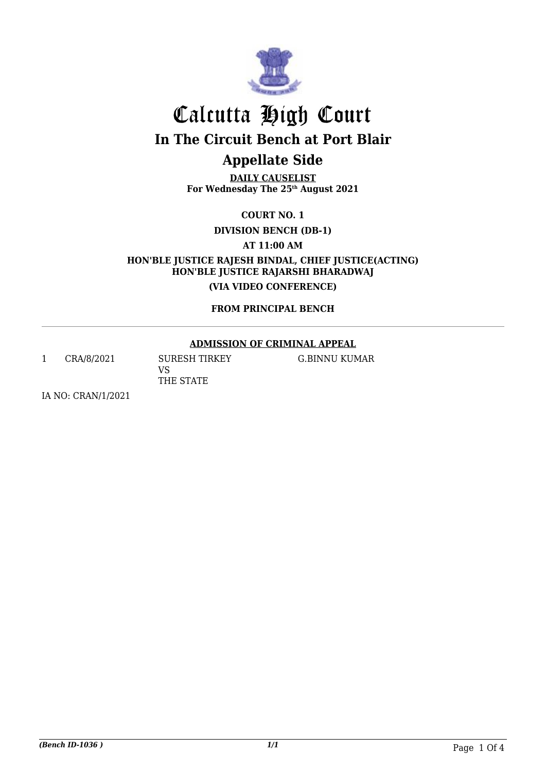

# Calcutta High Court **In The Circuit Bench at Port Blair**

## **Appellate Side**

**DAILY CAUSELIST For Wednesday The 25th August 2021**

**COURT NO. 1**

**DIVISION BENCH (DB-1)**

**AT 11:00 AM**

**HON'BLE JUSTICE RAJESH BINDAL, CHIEF JUSTICE(ACTING) HON'BLE JUSTICE RAJARSHI BHARADWAJ (VIA VIDEO CONFERENCE)**

**FROM PRINCIPAL BENCH**

### **ADMISSION OF CRIMINAL APPEAL**

1 CRA/8/2021 SURESH TIRKEY VS THE STATE

G.BINNU KUMAR

IA NO: CRAN/1/2021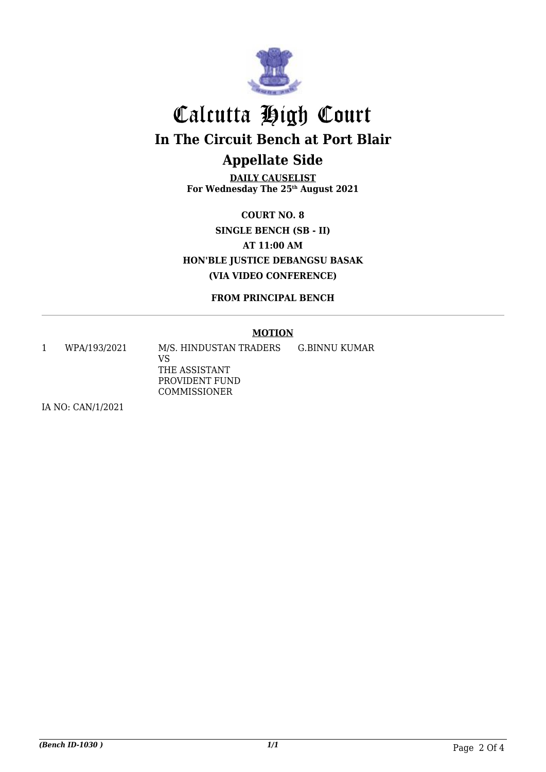

# Calcutta High Court **In The Circuit Bench at Port Blair Appellate Side**

**DAILY CAUSELIST For Wednesday The 25th August 2021**

**COURT NO. 8 SINGLE BENCH (SB - II) AT 11:00 AM HON'BLE JUSTICE DEBANGSU BASAK (VIA VIDEO CONFERENCE)**

**FROM PRINCIPAL BENCH**

#### **MOTION**

1 WPA/193/2021 M/S. HINDUSTAN TRADERS VS THE ASSISTANT PROVIDENT FUND COMMISSIONER G.BINNU KUMAR

IA NO: CAN/1/2021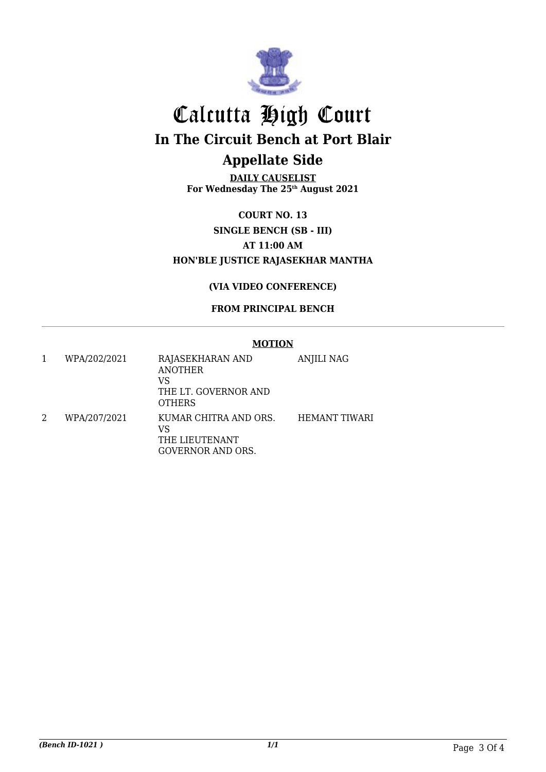

# Calcutta High Court **In The Circuit Bench at Port Blair Appellate Side**

**DAILY CAUSELIST For Wednesday The 25th August 2021**

**COURT NO. 13 SINGLE BENCH (SB - III) AT 11:00 AM HON'BLE JUSTICE RAJASEKHAR MANTHA**

### **(VIA VIDEO CONFERENCE)**

### **FROM PRINCIPAL BENCH**

|              | <b>MOTION</b>                                                                     |                      |  |
|--------------|-----------------------------------------------------------------------------------|----------------------|--|
| WPA/202/2021 | RAJASEKHARAN AND<br><b>ANOTHER</b><br>VS<br>THE LT. GOVERNOR AND<br><b>OTHERS</b> | ANJILI NAG           |  |
| WPA/207/2021 | KUMAR CHITRA AND ORS.<br>VS<br>THE LIEUTENANT<br>GOVERNOR AND ORS.                | <b>HEMANT TIWARI</b> |  |